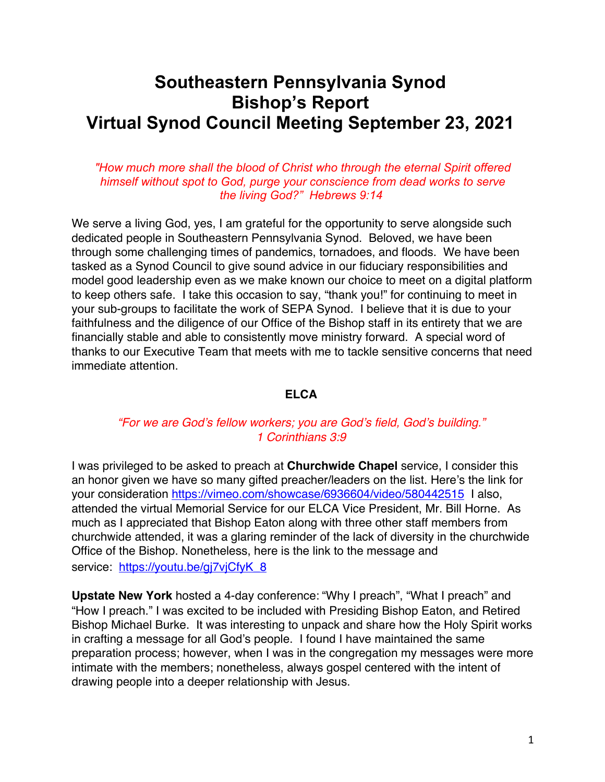# **Southeastern Pennsylvania Synod Bishop's Report Virtual Synod Council Meeting September 23, 2021**

## *"How much more shall the blood of Christ who through the eternal Spirit offered himself without spot to God, purge your conscience from dead works to serve the living God?" Hebrews 9:14*

We serve a living God, yes, I am grateful for the opportunity to serve alongside such dedicated people in Southeastern Pennsylvania Synod. Beloved, we have been through some challenging times of pandemics, tornadoes, and floods. We have been tasked as a Synod Council to give sound advice in our fiduciary responsibilities and model good leadership even as we make known our choice to meet on a digital platform to keep others safe. I take this occasion to say, "thank you!" for continuing to meet in your sub-groups to facilitate the work of SEPA Synod. I believe that it is due to your faithfulness and the diligence of our Office of the Bishop staff in its entirety that we are financially stable and able to consistently move ministry forward. A special word of thanks to our Executive Team that meets with me to tackle sensitive concerns that need immediate attention.

## **ELCA**

# *"For we are God's fellow workers; you are God's field, God's building." 1 Corinthians 3:9*

I was privileged to be asked to preach at **Churchwide Chapel** service, I consider this an honor given we have so many gifted preacher/leaders on the list. Here's the link for your consideration https://vimeo.com/showcase/6936604/video/580442515 I also, attended the virtual Memorial Service for our ELCA Vice President, Mr. Bill Horne. As much as I appreciated that Bishop Eaton along with three other staff members from churchwide attended, it was a glaring reminder of the lack of diversity in the churchwide Office of the Bishop. Nonetheless, here is the link to the message and service: https://voutu.be/gi7viCfvK\_8

**Upstate New York** hosted a 4-day conference: "Why I preach", "What I preach" and "How I preach." I was excited to be included with Presiding Bishop Eaton, and Retired Bishop Michael Burke. It was interesting to unpack and share how the Holy Spirit works in crafting a message for all God's people. I found I have maintained the same preparation process; however, when I was in the congregation my messages were more intimate with the members; nonetheless, always gospel centered with the intent of drawing people into a deeper relationship with Jesus.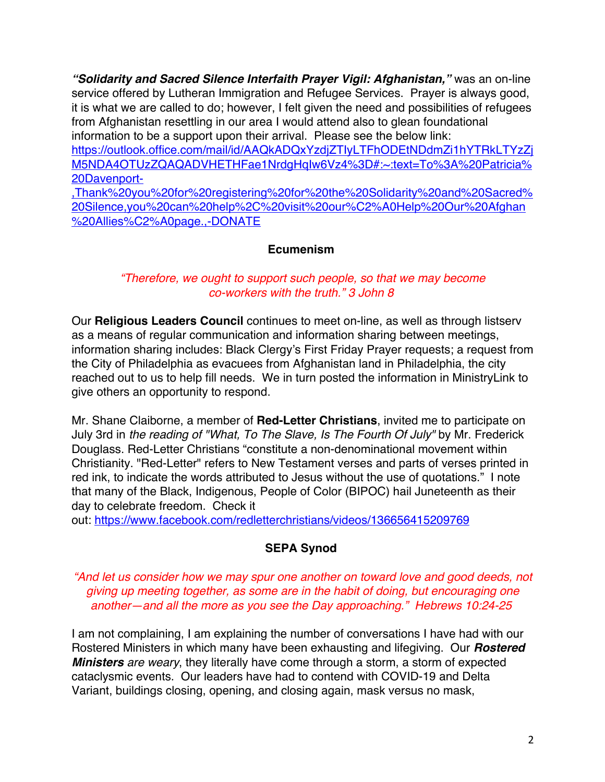*"Solidarity and Sacred Silence Interfaith Prayer Vigil: Afghanistan,"* was an on-line service offered by Lutheran Immigration and Refugee Services. Prayer is always good, it is what we are called to do; however, I felt given the need and possibilities of refugees from Afghanistan resettling in our area I would attend also to glean foundational information to be a support upon their arrival. Please see the below link: https://outlook.office.com/mail/id/AAQkADQxYzdjZTIyLTFhODEtNDdmZi1hYTRkLTYzZj

M5NDA4OTUzZQAQADVHETHFae1NrdgHqIw6Vz4%3D#:~:text=To%3A%20Patricia% 20Davenport-

,Thank%20you%20for%20registering%20for%20the%20Solidarity%20and%20Sacred% 20Silence,you%20can%20help%2C%20visit%20our%C2%A0Help%20Our%20Afghan %20Allies%C2%A0page.,-DONATE

## **Ecumenism**

## *"Therefore, we ought to support such people, so that we may become co-workers with the truth." 3 John 8*

Our **Religious Leaders Council** continues to meet on-line, as well as through listserv as a means of regular communication and information sharing between meetings, information sharing includes: Black Clergy's First Friday Prayer requests; a request from the City of Philadelphia as evacuees from Afghanistan land in Philadelphia, the city reached out to us to help fill needs. We in turn posted the information in MinistryLink to give others an opportunity to respond.

Mr. Shane Claiborne, a member of **Red-Letter Christians**, invited me to participate on July 3rd in *the reading of "What, To The Slave, Is The Fourth Of July"* by Mr. Frederick Douglass. Red-Letter Christians "constitute a non-denominational movement within Christianity. "Red-Letter" refers to New Testament verses and parts of verses printed in red ink, to indicate the words attributed to Jesus without the use of quotations." I note that many of the Black, Indigenous, People of Color (BIPOC) hail Juneteenth as their day to celebrate freedom. Check it

out: https://www.facebook.com/redletterchristians/videos/136656415209769

# **SEPA Synod**

*"And let us consider how we may spur one another on toward love and good deeds, not giving up meeting together, as some are in the habit of doing, but encouraging one another—and all the more as you see the Day approaching." Hebrews 10:24-25*

I am not complaining, I am explaining the number of conversations I have had with our Rostered Ministers in which many have been exhausting and lifegiving. Our *Rostered Ministers are weary*, they literally have come through a storm, a storm of expected cataclysmic events. Our leaders have had to contend with COVID-19 and Delta Variant, buildings closing, opening, and closing again, mask versus no mask,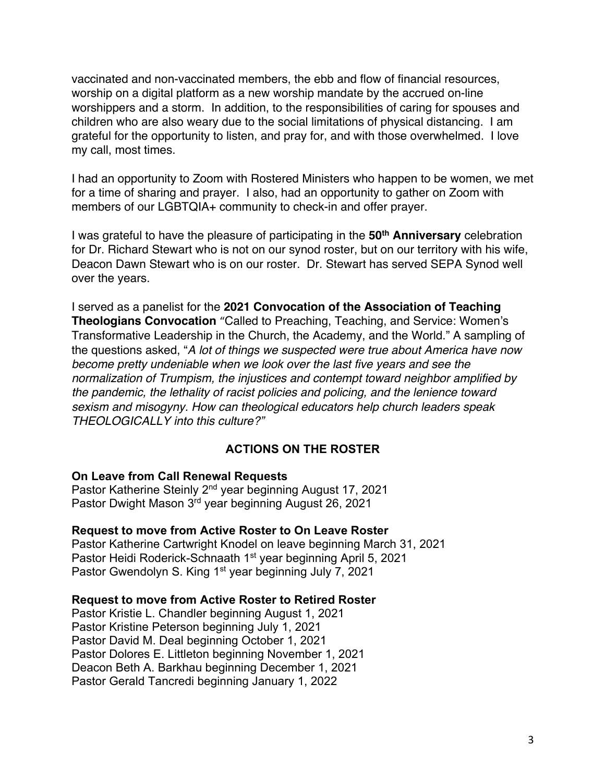vaccinated and non-vaccinated members, the ebb and flow of financial resources, worship on a digital platform as a new worship mandate by the accrued on-line worshippers and a storm. In addition, to the responsibilities of caring for spouses and children who are also weary due to the social limitations of physical distancing. I am grateful for the opportunity to listen, and pray for, and with those overwhelmed. I love my call, most times.

I had an opportunity to Zoom with Rostered Ministers who happen to be women, we met for a time of sharing and prayer. I also, had an opportunity to gather on Zoom with members of our LGBTQIA+ community to check-in and offer prayer.

I was grateful to have the pleasure of participating in the **50th Anniversary** celebration for Dr. Richard Stewart who is not on our synod roster, but on our territory with his wife, Deacon Dawn Stewart who is on our roster. Dr. Stewart has served SEPA Synod well over the years.

I served as a panelist for the **2021 Convocation of the Association of Teaching Theologians Convocation** "Called to Preaching, Teaching, and Service: Women's Transformative Leadership in the Church, the Academy, and the World." A sampling of the questions asked, "*A lot of things we suspected were true about America have now become pretty undeniable when we look over the last five years and see the normalization of Trumpism, the injustices and contempt toward neighbor amplified by the pandemic, the lethality of racist policies and policing, and the lenience toward sexism and misogyny. How can theological educators help church leaders speak THEOLOGICALLY into this culture?"*

## **ACTIONS ON THE ROSTER**

#### **On Leave from Call Renewal Requests**

Pastor Katherine Steinly 2nd year beginning August 17, 2021 Pastor Dwight Mason 3rd year beginning August 26, 2021

#### **Request to move from Active Roster to On Leave Roster**

Pastor Katherine Cartwright Knodel on leave beginning March 31, 2021 Pastor Heidi Roderick-Schnaath 1<sup>st</sup> year beginning April 5, 2021 Pastor Gwendolyn S. King 1<sup>st</sup> year beginning July 7, 2021

#### **Request to move from Active Roster to Retired Roster**

Pastor Kristie L. Chandler beginning August 1, 2021 Pastor Kristine Peterson beginning July 1, 2021 Pastor David M. Deal beginning October 1, 2021 Pastor Dolores E. Littleton beginning November 1, 2021 Deacon Beth A. Barkhau beginning December 1, 2021 Pastor Gerald Tancredi beginning January 1, 2022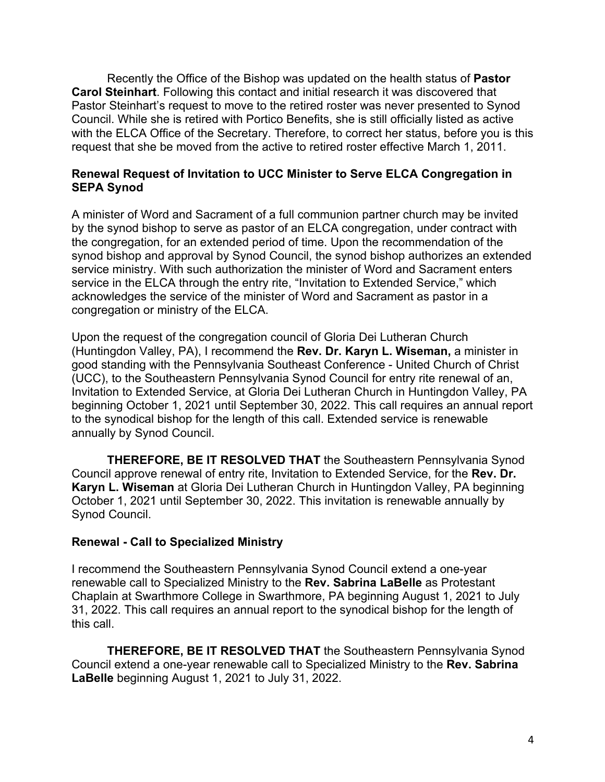Recently the Office of the Bishop was updated on the health status of **Pastor Carol Steinhart**. Following this contact and initial research it was discovered that Pastor Steinhart's request to move to the retired roster was never presented to Synod Council. While she is retired with Portico Benefits, she is still officially listed as active with the ELCA Office of the Secretary. Therefore, to correct her status, before you is this request that she be moved from the active to retired roster effective March 1, 2011.

## **Renewal Request of Invitation to UCC Minister to Serve ELCA Congregation in SEPA Synod**

A minister of Word and Sacrament of a full communion partner church may be invited by the synod bishop to serve as pastor of an ELCA congregation, under contract with the congregation, for an extended period of time. Upon the recommendation of the synod bishop and approval by Synod Council, the synod bishop authorizes an extended service ministry. With such authorization the minister of Word and Sacrament enters service in the ELCA through the entry rite, "Invitation to Extended Service," which acknowledges the service of the minister of Word and Sacrament as pastor in a congregation or ministry of the ELCA.

Upon the request of the congregation council of Gloria Dei Lutheran Church (Huntingdon Valley, PA), I recommend the **Rev. Dr. Karyn L. Wiseman,** a minister in good standing with the Pennsylvania Southeast Conference - United Church of Christ (UCC), to the Southeastern Pennsylvania Synod Council for entry rite renewal of an, Invitation to Extended Service, at Gloria Dei Lutheran Church in Huntingdon Valley, PA beginning October 1, 2021 until September 30, 2022. This call requires an annual report to the synodical bishop for the length of this call. Extended service is renewable annually by Synod Council.

**THEREFORE, BE IT RESOLVED THAT** the Southeastern Pennsylvania Synod Council approve renewal of entry rite, Invitation to Extended Service, for the **Rev. Dr. Karyn L. Wiseman** at Gloria Dei Lutheran Church in Huntingdon Valley, PA beginning October 1, 2021 until September 30, 2022. This invitation is renewable annually by Synod Council.

## **Renewal - Call to Specialized Ministry**

I recommend the Southeastern Pennsylvania Synod Council extend a one-year renewable call to Specialized Ministry to the **Rev. Sabrina LaBelle** as Protestant Chaplain at Swarthmore College in Swarthmore, PA beginning August 1, 2021 to July 31, 2022. This call requires an annual report to the synodical bishop for the length of this call.

**THEREFORE, BE IT RESOLVED THAT** the Southeastern Pennsylvania Synod Council extend a one-year renewable call to Specialized Ministry to the **Rev. Sabrina LaBelle** beginning August 1, 2021 to July 31, 2022.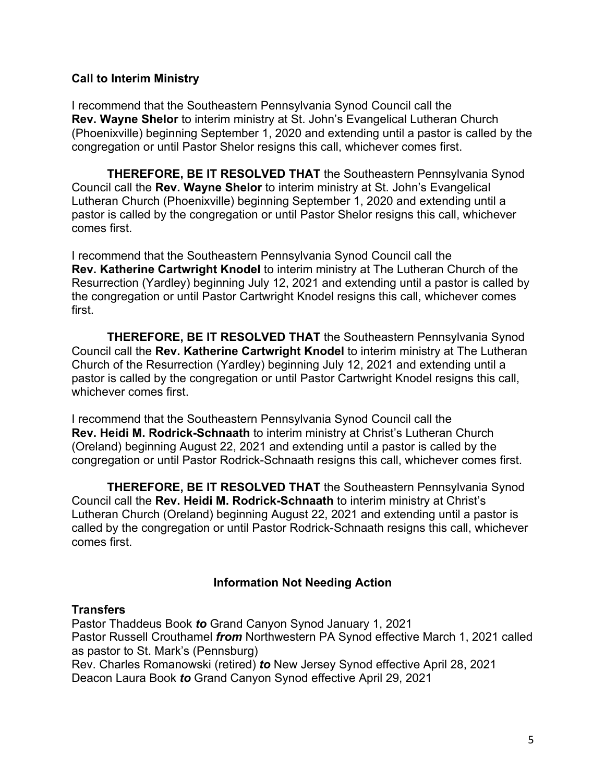## **Call to Interim Ministry**

I recommend that the Southeastern Pennsylvania Synod Council call the **Rev. Wayne Shelor** to interim ministry at St. John's Evangelical Lutheran Church (Phoenixville) beginning September 1, 2020 and extending until a pastor is called by the congregation or until Pastor Shelor resigns this call, whichever comes first.

**THEREFORE, BE IT RESOLVED THAT** the Southeastern Pennsylvania Synod Council call the **Rev. Wayne Shelor** to interim ministry at St. John's Evangelical Lutheran Church (Phoenixville) beginning September 1, 2020 and extending until a pastor is called by the congregation or until Pastor Shelor resigns this call, whichever comes first.

I recommend that the Southeastern Pennsylvania Synod Council call the **Rev. Katherine Cartwright Knodel** to interim ministry at The Lutheran Church of the Resurrection (Yardley) beginning July 12, 2021 and extending until a pastor is called by the congregation or until Pastor Cartwright Knodel resigns this call, whichever comes first.

**THEREFORE, BE IT RESOLVED THAT** the Southeastern Pennsylvania Synod Council call the **Rev. Katherine Cartwright Knodel** to interim ministry at The Lutheran Church of the Resurrection (Yardley) beginning July 12, 2021 and extending until a pastor is called by the congregation or until Pastor Cartwright Knodel resigns this call, whichever comes first.

I recommend that the Southeastern Pennsylvania Synod Council call the **Rev. Heidi M. Rodrick-Schnaath** to interim ministry at Christ's Lutheran Church (Oreland) beginning August 22, 2021 and extending until a pastor is called by the congregation or until Pastor Rodrick-Schnaath resigns this call, whichever comes first.

**THEREFORE, BE IT RESOLVED THAT** the Southeastern Pennsylvania Synod Council call the **Rev. Heidi M. Rodrick-Schnaath** to interim ministry at Christ's Lutheran Church (Oreland) beginning August 22, 2021 and extending until a pastor is called by the congregation or until Pastor Rodrick-Schnaath resigns this call, whichever comes first.

# **Information Not Needing Action**

# **Transfers**

Pastor Thaddeus Book *to* Grand Canyon Synod January 1, 2021 Pastor Russell Crouthamel *from* Northwestern PA Synod effective March 1, 2021 called as pastor to St. Mark's (Pennsburg) Rev. Charles Romanowski (retired) *to* New Jersey Synod effective April 28, 2021

Deacon Laura Book *to* Grand Canyon Synod effective April 29, 2021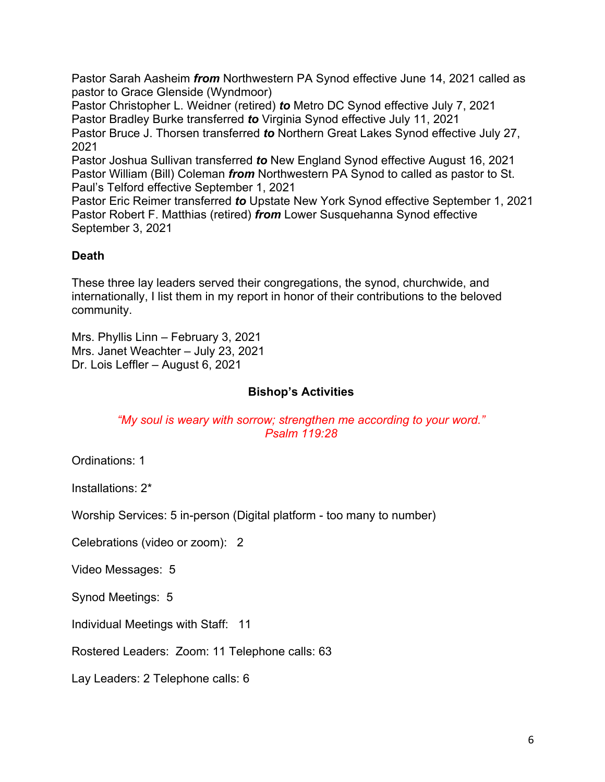Pastor Sarah Aasheim *from* Northwestern PA Synod effective June 14, 2021 called as pastor to Grace Glenside (Wyndmoor)

Pastor Christopher L. Weidner (retired) *to* Metro DC Synod effective July 7, 2021 Pastor Bradley Burke transferred *to* Virginia Synod effective July 11, 2021 Pastor Bruce J. Thorsen transferred *to* Northern Great Lakes Synod effective July 27, 2021

Pastor Joshua Sullivan transferred *to* New England Synod effective August 16, 2021 Pastor William (Bill) Coleman *from* Northwestern PA Synod to called as pastor to St. Paul's Telford effective September 1, 2021

Pastor Eric Reimer transferred *to* Upstate New York Synod effective September 1, 2021 Pastor Robert F. Matthias (retired) *from* Lower Susquehanna Synod effective September 3, 2021

# **Death**

These three lay leaders served their congregations, the synod, churchwide, and internationally, I list them in my report in honor of their contributions to the beloved community.

Mrs. Phyllis Linn – February 3, 2021 Mrs. Janet Weachter – July 23, 2021 Dr. Lois Leffler – August 6, 2021

## **Bishop's Activities**

## *"My soul is weary with sorrow; strengthen me according to your word." Psalm 119:28*

Ordinations: 1

Installations: 2\*

Worship Services: 5 in-person (Digital platform - too many to number)

Celebrations (video or zoom): 2

Video Messages: 5

Synod Meetings: 5

Individual Meetings with Staff: 11

Rostered Leaders: Zoom: 11 Telephone calls: 63

Lay Leaders: 2 Telephone calls: 6